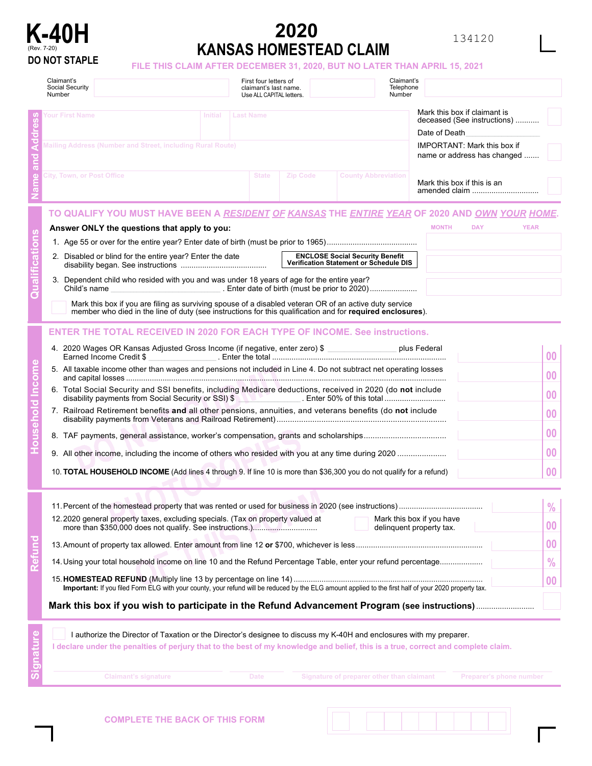

## **2020 K-40H**<br> **KANSAS HOMESTEAD CLAIM**<br> **KANSAS HOMESTEAD CLAIM**<br> **KANSAS HOMESTEAD CLAIM**

134120

FILE THIS CLAIM AFTER DECEMBER 31, 2020, BUT NO LATER THAN APRIL 15, 2021

|  | Claimant's<br>Social Security<br>Number                                                                                                                                                                                                                                                                                                                                                                                                                                                                                                                                                                                                                                       | First four letters of<br>claimant's last name.<br>Use ALL CAPITAL letters. |          | Claimant's<br>Telephone<br>Number                                                |                                                                                                                    |                                                              |  |  |
|--|-------------------------------------------------------------------------------------------------------------------------------------------------------------------------------------------------------------------------------------------------------------------------------------------------------------------------------------------------------------------------------------------------------------------------------------------------------------------------------------------------------------------------------------------------------------------------------------------------------------------------------------------------------------------------------|----------------------------------------------------------------------------|----------|----------------------------------------------------------------------------------|--------------------------------------------------------------------------------------------------------------------|--------------------------------------------------------------|--|--|
|  | Your First Name<br>Initial<br>Mailing Address (Number and Street, including Rural Route)                                                                                                                                                                                                                                                                                                                                                                                                                                                                                                                                                                                      | <b>Last Name</b>                                                           |          |                                                                                  | Mark this box if claimant is<br>deceased (See instructions)<br>Date of Death<br><b>IMPORTANT: Mark this box if</b> |                                                              |  |  |
|  | City, Town, or Post Office                                                                                                                                                                                                                                                                                                                                                                                                                                                                                                                                                                                                                                                    | <b>State</b>                                                               | Zip Code | <b>County Abbreviation</b>                                                       | name or address has changed<br>Mark this box if this is an<br>amended claim                                        |                                                              |  |  |
|  | TO QUALIFY YOU MUST HAVE BEEN A <u>RESIDENT OF KANSAS</u> THE <u>ENTIRE YEAR</u> OF 2020 AND <u>OWN YOUR HOME</u> .<br>Answer ONLY the questions that apply to you:<br>2. Disabled or blind for the entire year? Enter the date                                                                                                                                                                                                                                                                                                                                                                                                                                               |                                                                            |          | <b>ENCLOSE Social Security Benefit</b><br>Verification Statement or Schedule DIS | <b>DAY</b><br><b>MONTH</b>                                                                                         | <b>YEAR</b>                                                  |  |  |
|  | 3. Dependent child who resided with you and was under 18 years of age for the entire year?<br>Child's name<br><u> 1989 - Johann Barbara, martxa alemaniar a</u><br>Mark this box if you are filing as surviving spouse of a disabled veteran OR of an active duty service<br>member who died in the line of duty (see instructions for this qualification and for required enclosures).                                                                                                                                                                                                                                                                                       |                                                                            |          |                                                                                  |                                                                                                                    |                                                              |  |  |
|  | <b>ENTER THE TOTAL RECEIVED IN 2020 FOR EACH TYPE OF INCOME. See instructions.</b><br>4. 2020 Wages OR Kansas Adjusted Gross Income (if negative, enter zero) \$ __________________ plus Federal<br>5. All taxable income other than wages and pensions not included in Line 4. Do not subtract net operating losses<br>6. Total Social Security and SSI benefits, including Medicare deductions, received in 2020 (do not include<br>7. Railroad Retirement benefits and all other pensions, annuities, and veterans benefits (do not include<br>10. <b>TOTAL HOUSEHOLD INCOME</b> (Add lines 4 through 9. If line 10 is more than \$36,300 you do not qualify for a refund) |                                                                            |          |                                                                                  |                                                                                                                    | 00<br>00<br>00<br>00<br>00<br>00<br>0 <sub>0</sub>           |  |  |
|  | 12.2020 general property taxes, excluding specials. (Tax on property valued at<br>14. Using your total household income on line 10 and the Refund Percentage Table, enter your refund percentage<br>Important: If you filed Form ELG with your county, your refund will be reduced by the ELG amount applied to the first half of your 2020 property tax.                                                                                                                                                                                                                                                                                                                     |                                                                            |          |                                                                                  | Mark this box if you have<br>delinquent property tax.                                                              | $\frac{0}{0}$<br>0 <sub>0</sub><br>00<br>$\frac{0}{0}$<br>00 |  |  |
|  | I authorize the Director of Taxation or the Director's designee to discuss my K-40H and enclosures with my preparer.<br>I declare under the penalties of perjury that to the best of my knowledge and belief, this is a true, correct and complete claim.<br><b>Claimant's signature</b>                                                                                                                                                                                                                                                                                                                                                                                      | <b>Date</b>                                                                |          | Signature of preparer other than claimant                                        | Preparer's phone number                                                                                            |                                                              |  |  |

**Claimant's signature Claimant's signature of preparer other than claimant Preparer's phone number**